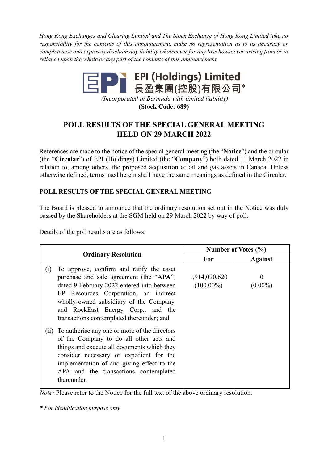*Hong Kong Exchanges and Clearing Limited and The Stock Exchange of Hong Kong Limited take no responsibility for the contents of this announcement, make no representation as to its accuracy or completeness and expressly disclaim any liability whatsoever for any loss howsoever arising from or in reliance upon the whole or any part of the contents of this announcement.* 



*(Incorporated in Bermuda with limited liability)*  **(Stock Code: 689)** 

## **POLL RESULTS OF THE SPECIAL GENERAL MEETING HELD ON 29 MARCH 2022**

References are made to the notice of the special general meeting (the "**Notice**") and the circular (the "**Circular**") of EPI (Holdings) Limited (the "**Company**") both dated 11 March 2022 in relation to, among others, the proposed acquisition of oil and gas assets in Canada. Unless otherwise defined, terms used herein shall have the same meanings as defined in the Circular.

## **POLL RESULTS OF THE SPECIAL GENERAL MEETING**

The Board is pleased to announce that the ordinary resolution set out in the Notice was duly passed by the Shareholders at the SGM held on 29 March 2022 by way of poll.

Details of the poll results are as follows:

| <b>Ordinary Resolution</b>                                                                                                                                                                                                                                                                                      | Number of Votes (%)           |                 |
|-----------------------------------------------------------------------------------------------------------------------------------------------------------------------------------------------------------------------------------------------------------------------------------------------------------------|-------------------------------|-----------------|
|                                                                                                                                                                                                                                                                                                                 | For                           | <b>Against</b>  |
| To approve, confirm and ratify the asset<br>(i)<br>purchase and sale agreement (the "APA")<br>dated 9 February 2022 entered into between<br>EP Resources Corporation, an indirect<br>wholly-owned subsidiary of the Company,<br>and RockEast Energy Corp., and the<br>transactions contemplated thereunder; and | 1,914,090,620<br>$(100.00\%)$ | 0<br>$(0.00\%)$ |
| (ii) To authorise any one or more of the directors<br>of the Company to do all other acts and<br>things and execute all documents which they<br>consider necessary or expedient for the<br>implementation of and giving effect to the<br>APA and the transactions contemplated<br>thereunder.                   |                               |                 |

*Note:* Please refer to the Notice for the full text of the above ordinary resolution.

*\* For identification purpose only*